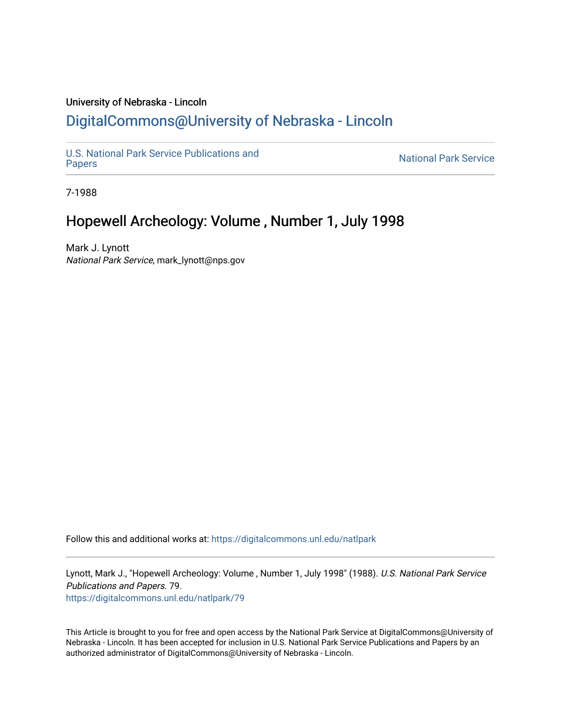## University of Nebraska - Lincoln [DigitalCommons@University of Nebraska - Lincoln](https://digitalcommons.unl.edu/)

[U.S. National Park Service Publications and](https://digitalcommons.unl.edu/natlpark) 

**National Park Service** 

7-1988

# Hopewell Archeology: Volume , Number 1, July 1998

Mark J. Lynott National Park Service, mark\_lynott@nps.gov

Follow this and additional works at: [https://digitalcommons.unl.edu/natlpark](https://digitalcommons.unl.edu/natlpark?utm_source=digitalcommons.unl.edu%2Fnatlpark%2F79&utm_medium=PDF&utm_campaign=PDFCoverPages) 

Lynott, Mark J., "Hopewell Archeology: Volume , Number 1, July 1998" (1988). U.S. National Park Service Publications and Papers. 79. [https://digitalcommons.unl.edu/natlpark/79](https://digitalcommons.unl.edu/natlpark/79?utm_source=digitalcommons.unl.edu%2Fnatlpark%2F79&utm_medium=PDF&utm_campaign=PDFCoverPages)

This Article is brought to you for free and open access by the National Park Service at DigitalCommons@University of Nebraska - Lincoln. It has been accepted for inclusion in U.S. National Park Service Publications and Papers by an authorized administrator of DigitalCommons@University of Nebraska - Lincoln.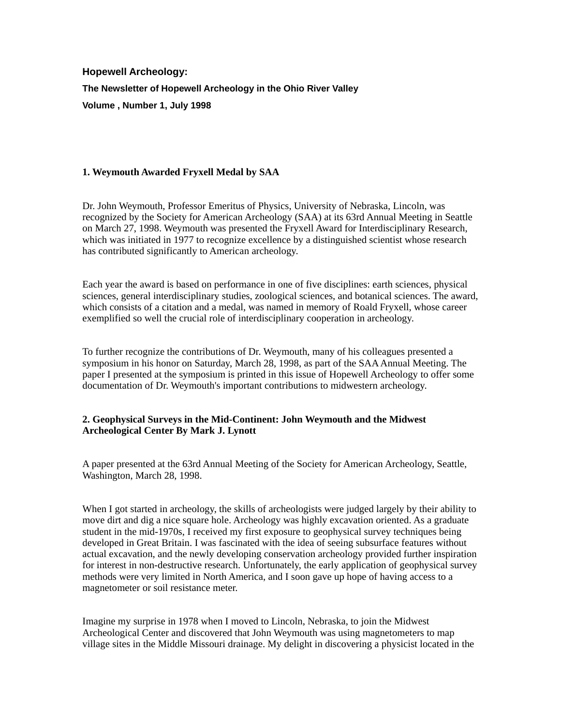**Hopewell Archeology:** 

**The Newsletter of Hopewell Archeology in the Ohio River Valley** 

**Volume , Number 1, July 1998** 

## **1. Weymouth Awarded Fryxell Medal by SAA**

Dr. John Weymouth, Professor Emeritus of Physics, University of Nebraska, Lincoln, was recognized by the Society for American Archeology (SAA) at its 63rd Annual Meeting in Seattle on March 27, 1998. Weymouth was presented the Fryxell Award for Interdisciplinary Research, which was initiated in 1977 to recognize excellence by a distinguished scientist whose research has contributed significantly to American archeology.

Each year the award is based on performance in one of five disciplines: earth sciences, physical sciences, general interdisciplinary studies, zoological sciences, and botanical sciences. The award, which consists of a citation and a medal, was named in memory of Roald Fryxell, whose career exemplified so well the crucial role of interdisciplinary cooperation in archeology.

To further recognize the contributions of Dr. Weymouth, many of his colleagues presented a symposium in his honor on Saturday, March 28, 1998, as part of the SAA Annual Meeting. The paper I presented at the symposium is printed in this issue of Hopewell Archeology to offer some documentation of Dr. Weymouth's important contributions to midwestern archeology.

### **2. Geophysical Surveys in the Mid-Continent: John Weymouth and the Midwest Archeological Center By Mark J. Lynott**

A paper presented at the 63rd Annual Meeting of the Society for American Archeology, Seattle, Washington, March 28, 1998.

When I got started in archeology, the skills of archeologists were judged largely by their ability to move dirt and dig a nice square hole. Archeology was highly excavation oriented. As a graduate student in the mid-1970s, I received my first exposure to geophysical survey techniques being developed in Great Britain. I was fascinated with the idea of seeing subsurface features without actual excavation, and the newly developing conservation archeology provided further inspiration for interest in non-destructive research. Unfortunately, the early application of geophysical survey methods were very limited in North America, and I soon gave up hope of having access to a magnetometer or soil resistance meter.

Imagine my surprise in 1978 when I moved to Lincoln, Nebraska, to join the Midwest Archeological Center and discovered that John Weymouth was using magnetometers to map village sites in the Middle Missouri drainage. My delight in discovering a physicist located in the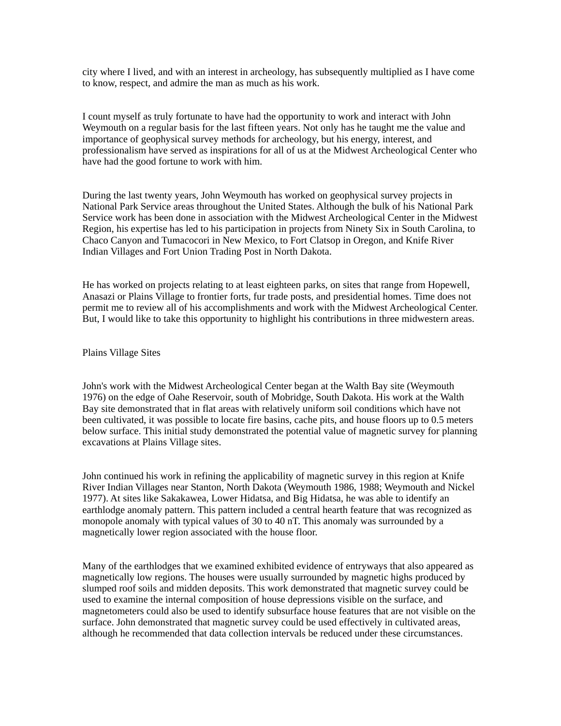city where I lived, and with an interest in archeology, has subsequently multiplied as I have come to know, respect, and admire the man as much as his work.

I count myself as truly fortunate to have had the opportunity to work and interact with John Weymouth on a regular basis for the last fifteen years. Not only has he taught me the value and importance of geophysical survey methods for archeology, but his energy, interest, and professionalism have served as inspirations for all of us at the Midwest Archeological Center who have had the good fortune to work with him.

During the last twenty years, John Weymouth has worked on geophysical survey projects in National Park Service areas throughout the United States. Although the bulk of his National Park Service work has been done in association with the Midwest Archeological Center in the Midwest Region, his expertise has led to his participation in projects from Ninety Six in South Carolina, to Chaco Canyon and Tumacocori in New Mexico, to Fort Clatsop in Oregon, and Knife River Indian Villages and Fort Union Trading Post in North Dakota.

He has worked on projects relating to at least eighteen parks, on sites that range from Hopewell, Anasazi or Plains Village to frontier forts, fur trade posts, and presidential homes. Time does not permit me to review all of his accomplishments and work with the Midwest Archeological Center. But, I would like to take this opportunity to highlight his contributions in three midwestern areas.

#### Plains Village Sites

John's work with the Midwest Archeological Center began at the Walth Bay site (Weymouth 1976) on the edge of Oahe Reservoir, south of Mobridge, South Dakota. His work at the Walth Bay site demonstrated that in flat areas with relatively uniform soil conditions which have not been cultivated, it was possible to locate fire basins, cache pits, and house floors up to 0.5 meters below surface. This initial study demonstrated the potential value of magnetic survey for planning excavations at Plains Village sites.

John continued his work in refining the applicability of magnetic survey in this region at Knife River Indian Villages near Stanton, North Dakota (Weymouth 1986, 1988; Weymouth and Nickel 1977). At sites like Sakakawea, Lower Hidatsa, and Big Hidatsa, he was able to identify an earthlodge anomaly pattern. This pattern included a central hearth feature that was recognized as monopole anomaly with typical values of 30 to 40 nT. This anomaly was surrounded by a magnetically lower region associated with the house floor.

Many of the earthlodges that we examined exhibited evidence of entryways that also appeared as magnetically low regions. The houses were usually surrounded by magnetic highs produced by slumped roof soils and midden deposits. This work demonstrated that magnetic survey could be used to examine the internal composition of house depressions visible on the surface, and magnetometers could also be used to identify subsurface house features that are not visible on the surface. John demonstrated that magnetic survey could be used effectively in cultivated areas, although he recommended that data collection intervals be reduced under these circumstances.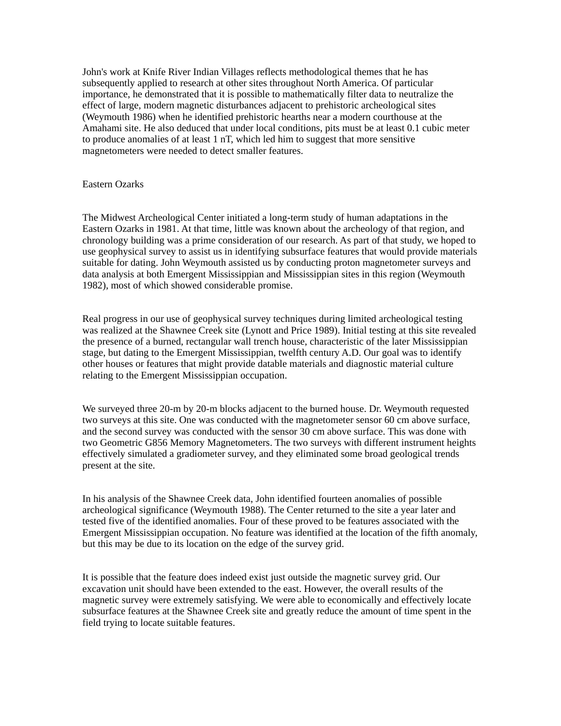John's work at Knife River Indian Villages reflects methodological themes that he has subsequently applied to research at other sites throughout North America. Of particular importance, he demonstrated that it is possible to mathematically filter data to neutralize the effect of large, modern magnetic disturbances adjacent to prehistoric archeological sites (Weymouth 1986) when he identified prehistoric hearths near a modern courthouse at the Amahami site. He also deduced that under local conditions, pits must be at least 0.1 cubic meter to produce anomalies of at least 1 nT, which led him to suggest that more sensitive magnetometers were needed to detect smaller features.

Eastern Ozarks

The Midwest Archeological Center initiated a long-term study of human adaptations in the Eastern Ozarks in 1981. At that time, little was known about the archeology of that region, and chronology building was a prime consideration of our research. As part of that study, we hoped to use geophysical survey to assist us in identifying subsurface features that would provide materials suitable for dating. John Weymouth assisted us by conducting proton magnetometer surveys and data analysis at both Emergent Mississippian and Mississippian sites in this region (Weymouth 1982), most of which showed considerable promise.

Real progress in our use of geophysical survey techniques during limited archeological testing was realized at the Shawnee Creek site (Lynott and Price 1989). Initial testing at this site revealed the presence of a burned, rectangular wall trench house, characteristic of the later Mississippian stage, but dating to the Emergent Mississippian, twelfth century A.D. Our goal was to identify other houses or features that might provide datable materials and diagnostic material culture relating to the Emergent Mississippian occupation.

We surveyed three 20-m by 20-m blocks adjacent to the burned house. Dr. Weymouth requested two surveys at this site. One was conducted with the magnetometer sensor 60 cm above surface, and the second survey was conducted with the sensor 30 cm above surface. This was done with two Geometric G856 Memory Magnetometers. The two surveys with different instrument heights effectively simulated a gradiometer survey, and they eliminated some broad geological trends present at the site.

In his analysis of the Shawnee Creek data, John identified fourteen anomalies of possible archeological significance (Weymouth 1988). The Center returned to the site a year later and tested five of the identified anomalies. Four of these proved to be features associated with the Emergent Mississippian occupation. No feature was identified at the location of the fifth anomaly, but this may be due to its location on the edge of the survey grid.

It is possible that the feature does indeed exist just outside the magnetic survey grid. Our excavation unit should have been extended to the east. However, the overall results of the magnetic survey were extremely satisfying. We were able to economically and effectively locate subsurface features at the Shawnee Creek site and greatly reduce the amount of time spent in the field trying to locate suitable features.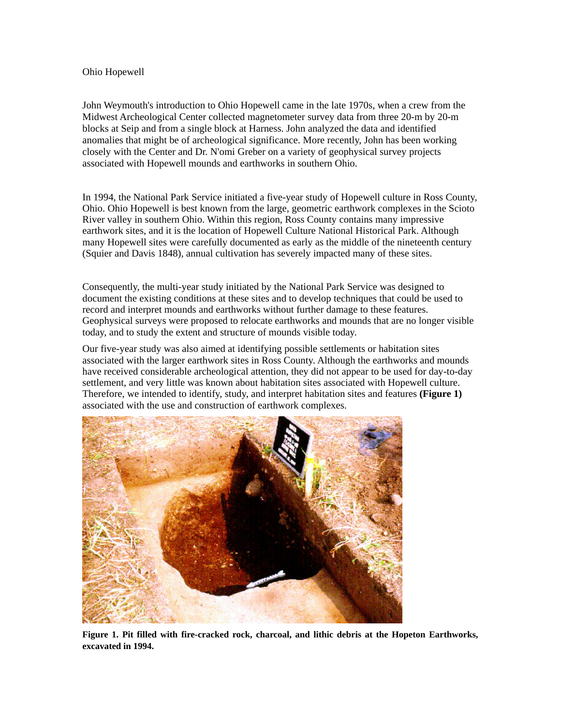#### Ohio Hopewell

John Weymouth's introduction to Ohio Hopewell came in the late 1970s, when a crew from the Midwest Archeological Center collected magnetometer survey data from three 20-m by 20-m blocks at Seip and from a single block at Harness. John analyzed the data and identified anomalies that might be of archeological significance. More recently, John has been working closely with the Center and Dr. N'omi Greber on a variety of geophysical survey projects associated with Hopewell mounds and earthworks in southern Ohio.

In 1994, the National Park Service initiated a five-year study of Hopewell culture in Ross County, Ohio. Ohio Hopewell is best known from the large, geometric earthwork complexes in the Scioto River valley in southern Ohio. Within this region, Ross County contains many impressive earthwork sites, and it is the location of Hopewell Culture National Historical Park. Although many Hopewell sites were carefully documented as early as the middle of the nineteenth century (Squier and Davis 1848), annual cultivation has severely impacted many of these sites.

Consequently, the multi-year study initiated by the National Park Service was designed to document the existing conditions at these sites and to develop techniques that could be used to record and interpret mounds and earthworks without further damage to these features. Geophysical surveys were proposed to relocate earthworks and mounds that are no longer visible today, and to study the extent and structure of mounds visible today.

Our five-year study was also aimed at identifying possible settlements or habitation sites associated with the larger earthwork sites in Ross County. Although the earthworks and mounds have received considerable archeological attention, they did not appear to be used for day-to-day settlement, and very little was known about habitation sites associated with Hopewell culture. Therefore, we intended to identify, study, and interpret habitation sites and features **(Figure 1)**  associated with the use and construction of earthwork complexes.



**Figure 1. Pit filled with fire-cracked rock, charcoal, and lithic debris at the Hopeton Earthworks, excavated in 1994.**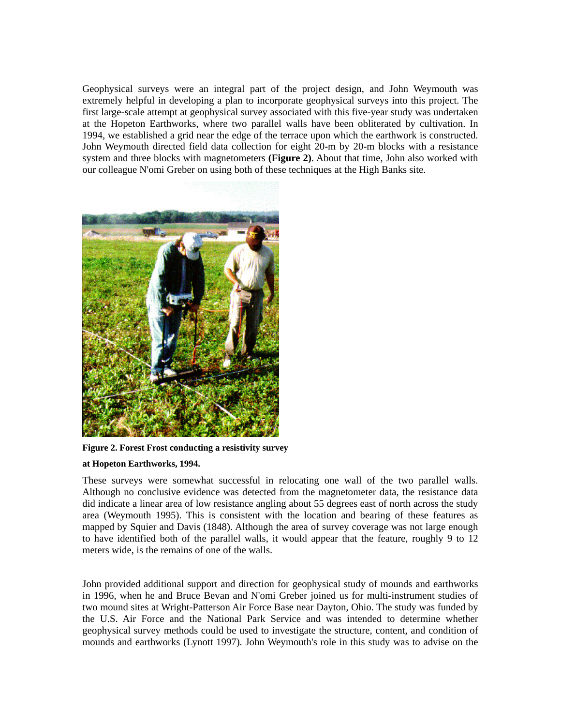Geophysical surveys were an integral part of the project design, and John Weymouth was extremely helpful in developing a plan to incorporate geophysical surveys into this project. The first large-scale attempt at geophysical survey associated with this five-year study was undertaken at the Hopeton Earthworks, where two parallel walls have been obliterated by cultivation. In 1994, we established a grid near the edge of the terrace upon which the earthwork is constructed. John Weymouth directed field data collection for eight 20-m by 20-m blocks with a resistance system and three blocks with magnetometers **(Figure 2)**. About that time, John also worked with our colleague N'omi Greber on using both of these techniques at the High Banks site.



**Figure 2. Forest Frost conducting a resistivity survey** 

### **at Hopeton Earthworks, 1994.**

These surveys were somewhat successful in relocating one wall of the two parallel walls. Although no conclusive evidence was detected from the magnetometer data, the resistance data did indicate a linear area of low resistance angling about 55 degrees east of north across the study area (Weymouth 1995). This is consistent with the location and bearing of these features as mapped by Squier and Davis (1848). Although the area of survey coverage was not large enough to have identified both of the parallel walls, it would appear that the feature, roughly 9 to 12 meters wide, is the remains of one of the walls.

John provided additional support and direction for geophysical study of mounds and earthworks in 1996, when he and Bruce Bevan and N'omi Greber joined us for multi-instrument studies of two mound sites at Wright-Patterson Air Force Base near Dayton, Ohio. The study was funded by the U.S. Air Force and the National Park Service and was intended to determine whether geophysical survey methods could be used to investigate the structure, content, and condition of mounds and earthworks (Lynott 1997). John Weymouth's role in this study was to advise on the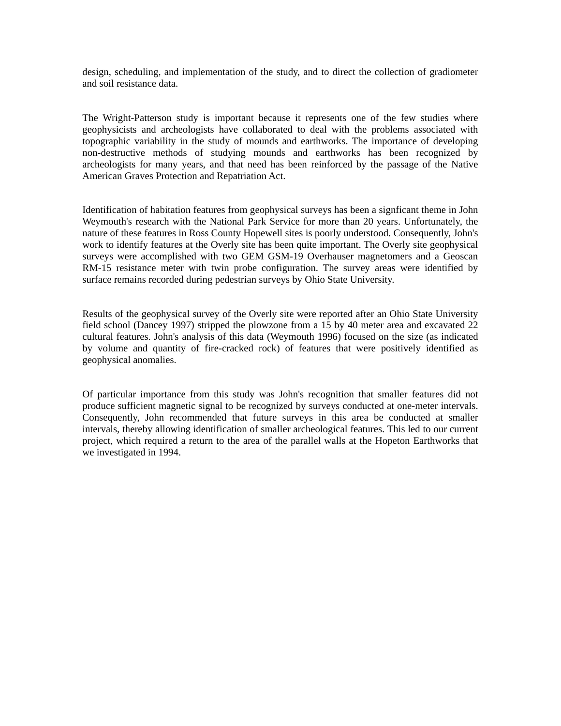design, scheduling, and implementation of the study, and to direct the collection of gradiometer and soil resistance data.

The Wright-Patterson study is important because it represents one of the few studies where geophysicists and archeologists have collaborated to deal with the problems associated with topographic variability in the study of mounds and earthworks. The importance of developing non-destructive methods of studying mounds and earthworks has been recognized by archeologists for many years, and that need has been reinforced by the passage of the Native American Graves Protection and Repatriation Act.

Identification of habitation features from geophysical surveys has been a signficant theme in John Weymouth's research with the National Park Service for more than 20 years. Unfortunately, the nature of these features in Ross County Hopewell sites is poorly understood. Consequently, John's work to identify features at the Overly site has been quite important. The Overly site geophysical surveys were accomplished with two GEM GSM-19 Overhauser magnetomers and a Geoscan RM-15 resistance meter with twin probe configuration. The survey areas were identified by surface remains recorded during pedestrian surveys by Ohio State University.

Results of the geophysical survey of the Overly site were reported after an Ohio State University field school (Dancey 1997) stripped the plowzone from a 15 by 40 meter area and excavated 22 cultural features. John's analysis of this data (Weymouth 1996) focused on the size (as indicated by volume and quantity of fire-cracked rock) of features that were positively identified as geophysical anomalies.

Of particular importance from this study was John's recognition that smaller features did not produce sufficient magnetic signal to be recognized by surveys conducted at one-meter intervals. Consequently, John recommended that future surveys in this area be conducted at smaller intervals, thereby allowing identification of smaller archeological features. This led to our current project, which required a return to the area of the parallel walls at the Hopeton Earthworks that we investigated in 1994.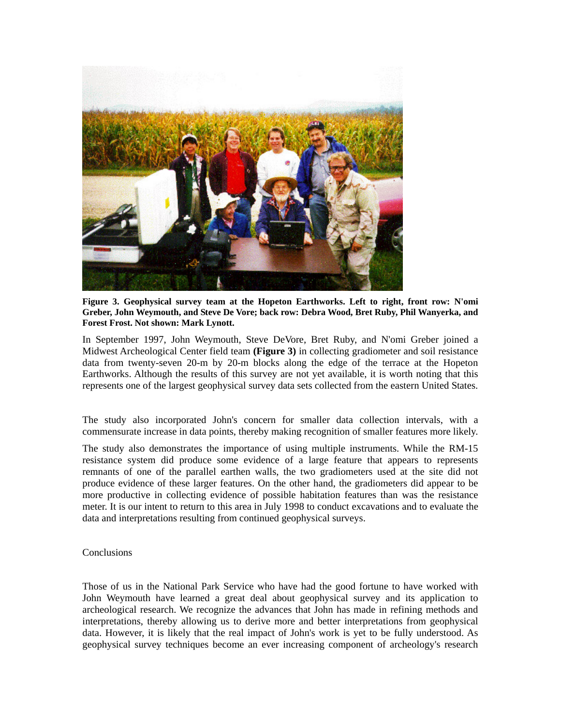

**Figure 3. Geophysical survey team at the Hopeton Earthworks. Left to right, front row: N'omi Greber, John Weymouth, and Steve De Vore; back row: Debra Wood, Bret Ruby, Phil Wanyerka, and Forest Frost. Not shown: Mark Lynott.** 

In September 1997, John Weymouth, Steve DeVore, Bret Ruby, and N'omi Greber joined a Midwest Archeological Center field team **(Figure 3)** in collecting gradiometer and soil resistance data from twenty-seven 20-m by 20-m blocks along the edge of the terrace at the Hopeton Earthworks. Although the results of this survey are not yet available, it is worth noting that this represents one of the largest geophysical survey data sets collected from the eastern United States.

The study also incorporated John's concern for smaller data collection intervals, with a commensurate increase in data points, thereby making recognition of smaller features more likely.

The study also demonstrates the importance of using multiple instruments. While the RM-15 resistance system did produce some evidence of a large feature that appears to represents remnants of one of the parallel earthen walls, the two gradiometers used at the site did not produce evidence of these larger features. On the other hand, the gradiometers did appear to be more productive in collecting evidence of possible habitation features than was the resistance meter. It is our intent to return to this area in July 1998 to conduct excavations and to evaluate the data and interpretations resulting from continued geophysical surveys.

Conclusions

Those of us in the National Park Service who have had the good fortune to have worked with John Weymouth have learned a great deal about geophysical survey and its application to archeological research. We recognize the advances that John has made in refining methods and interpretations, thereby allowing us to derive more and better interpretations from geophysical data. However, it is likely that the real impact of John's work is yet to be fully understood. As geophysical survey techniques become an ever increasing component of archeology's research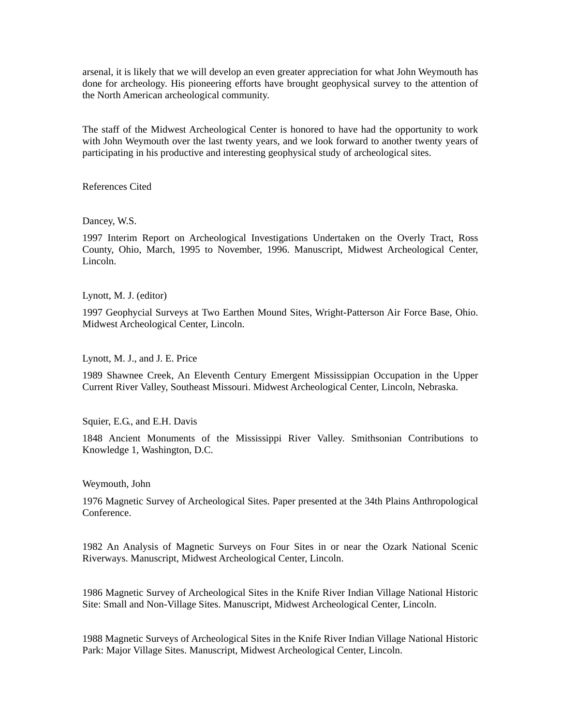arsenal, it is likely that we will develop an even greater appreciation for what John Weymouth has done for archeology. His pioneering efforts have brought geophysical survey to the attention of the North American archeological community.

The staff of the Midwest Archeological Center is honored to have had the opportunity to work with John Weymouth over the last twenty years, and we look forward to another twenty years of participating in his productive and interesting geophysical study of archeological sites.

References Cited

Dancey, W.S.

1997 Interim Report on Archeological Investigations Undertaken on the Overly Tract, Ross County, Ohio, March, 1995 to November, 1996. Manuscript, Midwest Archeological Center, Lincoln.

Lynott, M. J. (editor)

1997 Geophycial Surveys at Two Earthen Mound Sites, Wright-Patterson Air Force Base, Ohio. Midwest Archeological Center, Lincoln.

Lynott, M. J., and J. E. Price

1989 Shawnee Creek, An Eleventh Century Emergent Mississippian Occupation in the Upper Current River Valley, Southeast Missouri. Midwest Archeological Center, Lincoln, Nebraska.

Squier, E.G., and E.H. Davis

1848 Ancient Monuments of the Mississippi River Valley. Smithsonian Contributions to Knowledge 1, Washington, D.C.

Weymouth, John

1976 Magnetic Survey of Archeological Sites. Paper presented at the 34th Plains Anthropological Conference.

1982 An Analysis of Magnetic Surveys on Four Sites in or near the Ozark National Scenic Riverways. Manuscript, Midwest Archeological Center, Lincoln.

1986 Magnetic Survey of Archeological Sites in the Knife River Indian Village National Historic Site: Small and Non-Village Sites. Manuscript, Midwest Archeological Center, Lincoln.

1988 Magnetic Surveys of Archeological Sites in the Knife River Indian Village National Historic Park: Major Village Sites. Manuscript, Midwest Archeological Center, Lincoln.